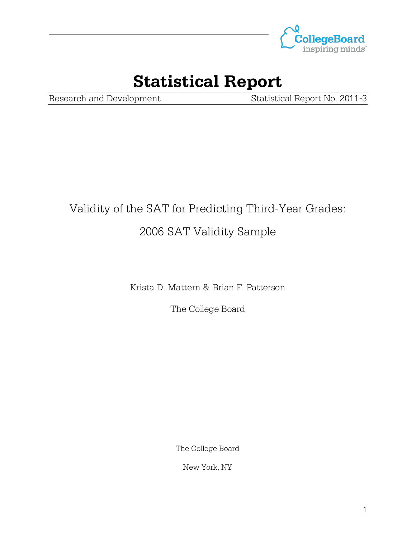

## **Statistical Report**

Research and Development Statistical Report No. 2011-3

# Validity of the SAT for Predicting Third-Year Grades: 2006 SAT Validity Sample

Krista D. Mattern & Brian F. Patterson

The College Board

The College Board

New York, NY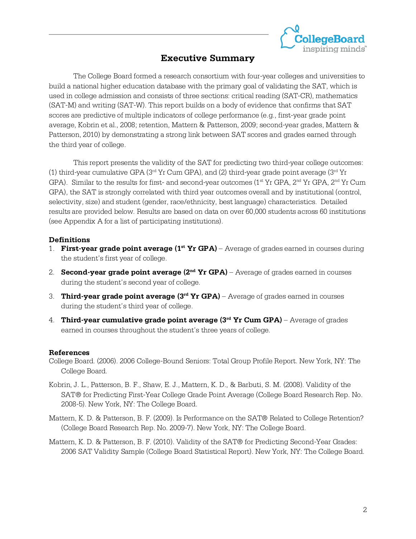

### **Executive Summary**

The College Board formed a research consortium with four-year colleges and universities to build a national higher education database with the primary goal of validating the SAT, which is used in college admission and consists of three sections: critical reading (SAT-CR), mathematics (SAT-M) and writing (SAT-W). This report builds on a body of evidence that confirms that SAT scores are predictive of multiple indicators of college performance (e.g., first-year grade point average, Kobrin et al., 2008; retention, Mattern & Patterson, 2009; second-year grades, Mattern & Patterson, 2010) by demonstrating a strong link between SAT scores and grades earned through the third year of college.

This report presents the validity of the SAT for predicting two third-year college outcomes: (1) third-year cumulative GPA ( $3<sup>rd</sup>$  Yr Cum GPA), and (2) third-year grade point average ( $3<sup>rd</sup>$  Yr GPA). Similar to the results for first- and second-year outcomes ( $1<sup>st</sup> Yr GPA$ ,  $2<sup>nd</sup> Yr GPA$ ,  $2<sup>nd</sup> Yr Cum$ GPA), the SAT is strongly correlated with third year outcomes overall and by institutional (control, selectivity, size) and student (gender, race/ethnicity, best language) characteristics. Detailed results are provided below. Results are based on data on over 60,000 students across 60 institutions (see Appendix A for a list of participating institutions).

#### **Definitions**

- 1. **First-year grade point average (1<sup>st</sup> Yr GPA)** Average of grades earned in courses during the student's first year of college.
- 2. **Second-year grade point average (2nd Yr GPA)** Average of grades earned in courses during the student's second year of college.
- 3. **Third-year grade point average (3rd Yr GPA)** Average of grades earned in courses during the student's third year of college.
- 4. **Third-year cumulative grade point average (3rd Yr Cum GPA)** Average of grades earned in courses throughout the student's three years of college.

#### **References**

- College Board. (2006). 2006 College-Bound Seniors: Total Group Profile Report. New York, NY: The College Board.
- Kobrin, J. L., Patterson, B. F., Shaw, E. J., Mattern, K. D., & Barbuti, S. M. (2008). Validity of the SAT® for Predicting First-Year College Grade Point Average (College Board Research Rep. No. 2008-5). New York, NY: The College Board.
- Mattern, K. D. & Patterson, B. F. (2009). Is Performance on the SAT® Related to College Retention? (College Board Research Rep. No. 2009-7). New York, NY: The College Board.
- Mattern, K. D. & Patterson, B. F. (2010). Validity of the SAT® for Predicting Second-Year Grades: 2006 SAT Validity Sample (College Board Statistical Report). New York, NY: The College Board.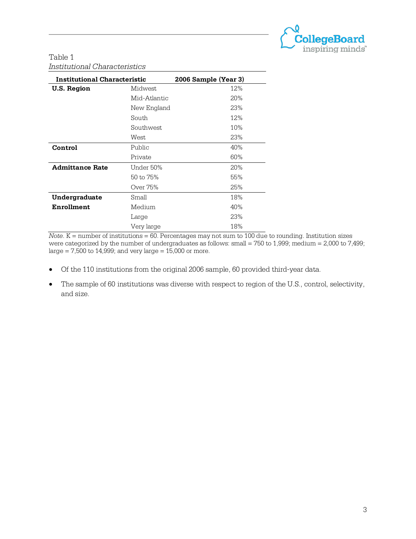

#### Table 1 *Institutional Characteristics*

| <b>Institutional Characteristic</b> | 2006 Sample (Year 3) |     |
|-------------------------------------|----------------------|-----|
| U.S. Region                         | <b>Midwest</b>       | 12% |
|                                     | Mid-Atlantic         | 20% |
|                                     | New England          | 23% |
|                                     | South                | 12% |
|                                     | Southwest            | 10% |
|                                     | West                 | 23% |
| Control                             | Public               | 40% |
|                                     | Private              | 60% |
| <b>Admittance Rate</b>              | Under 50%            | 20% |
|                                     | 50 to 75%            | 55% |
|                                     | Over 75%             | 25% |
| Undergraduate                       | Small                | 18% |
| Enrollment                          | Medium               | 40% |
|                                     | Large                | 23% |
|                                     | Very large           | 18% |

 $Note. K = number of institutions = 60. Percentages may not sum to 100 due to rounding. Institution sizes$ were categorized by the number of undergraduates as follows: small = 750 to 1,999; medium = 2,000 to 7,499; large = 7,500 to 14,999; and very large =  $15,000$  or more.

- Of the 110 institutions from the original 2006 sample, 60 provided third-year data.
- The sample of 60 institutions was diverse with respect to region of the U.S., control, selectivity, and size.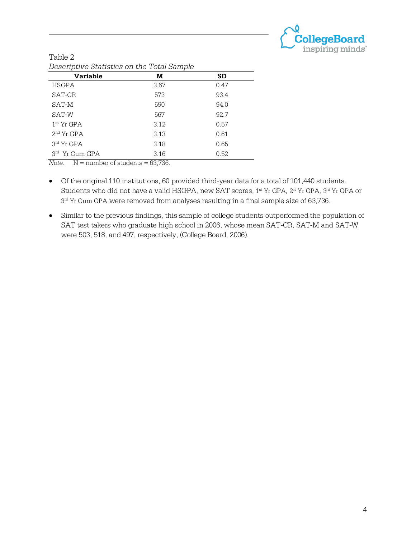

| 200            |      |       |  |  |  |  |  |  |
|----------------|------|-------|--|--|--|--|--|--|
| Variable       | м    | SD    |  |  |  |  |  |  |
| <b>HSGPA</b>   | 3.67 | 0.47  |  |  |  |  |  |  |
| SAT-CR         | 573  | 93.4  |  |  |  |  |  |  |
| SAT-M          | 590  | 94.0  |  |  |  |  |  |  |
| SAT-W          | 567  | 92.7  |  |  |  |  |  |  |
| $1st$ Yr GPA   | 3.12 | 0.57  |  |  |  |  |  |  |
| $2nd$ Yr GPA   | 3.13 | 0.61  |  |  |  |  |  |  |
| 3rd Yr GPA     | 3.18 | 0.65  |  |  |  |  |  |  |
| 3rd Yr Cum GPA | 3.16 | 0.52. |  |  |  |  |  |  |
|                |      |       |  |  |  |  |  |  |

| Table 2                                    |  |  |
|--------------------------------------------|--|--|
| Descriptive Statistics on the Total Sample |  |  |

*Note.* N = number of students = 63,736.

- Of the original 110 institutions, 60 provided third-year data for a total of 101,440 students. Students who did not have a valid HSGPA, new SAT scores, 1st Yr GPA, 2st Yr GPA, 3rd Yr GPA or  $3<sup>rd</sup>$  Yr Cum GPA were removed from analyses resulting in a final sample size of 63,736.
- Similar to the previous findings, this sample of college students outperformed the population of SAT test takers who graduate high school in 2006, whose mean SAT-CR, SAT-M and SAT-W were 503, 518, and 497, respectively, (College Board, 2006).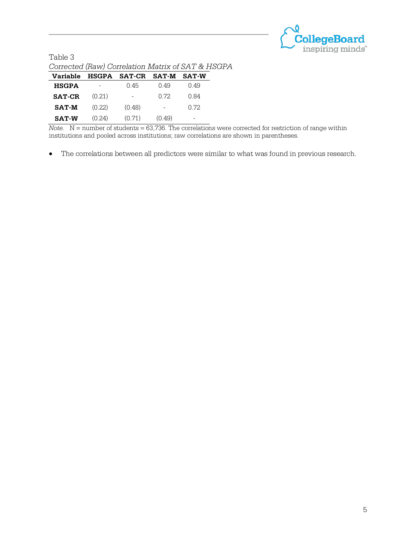

| Table 3                                           |  |
|---------------------------------------------------|--|
| Corrected (Raw) Correlation Matrix of SAT & HSGPA |  |

| Variable      |        | HSGPA SAT-CR SAT-M |                          | <b>SAT-W</b> |
|---------------|--------|--------------------|--------------------------|--------------|
| <b>HSGPA</b>  |        | 0.45               | O 49                     | O 49         |
| <b>SAT-CR</b> | (0.21) | ۰                  | 0.72                     | 0.84         |
| <b>SAT-M</b>  | (0.22) | (0.48)             | $\overline{\phantom{0}}$ | O 72.        |
| <b>SAT-W</b>  | (0.24) | (0.71)             | (0.49)                   | -            |

*Note.* N = number of students = 63,736. The correlations were corrected for restriction of range within institutions and pooled across institutions; raw correlations are shown in parentheses.

• The correlations between all predictors were similar to what was found in previous research.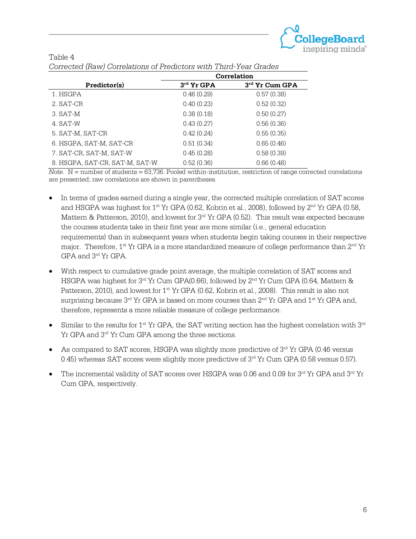

|                                | <b>Correlation</b> |                |  |  |  |  |  |
|--------------------------------|--------------------|----------------|--|--|--|--|--|
| Predictor(s)                   | $3rd$ Yr GPA       | 3rd Yr Cum GPA |  |  |  |  |  |
| 1. HSGPA                       | 0.46(0.29)         | 0.57(0.38)     |  |  |  |  |  |
| 2. SAT-CR                      | 0.40(0.23)         | 0.52(0.32)     |  |  |  |  |  |
| 3. SAT-M                       | 0.38(0.18)         | 0.50(0.27)     |  |  |  |  |  |
| 4. SAT-W                       | 0.43(0.27)         | 0.56(0.36)     |  |  |  |  |  |
| 5. SAT-M, SAT-CR               | 0.42(0.24)         | 0.55(0.35)     |  |  |  |  |  |
| 6. HSGPA, SAT-M, SAT-CR        | 0.51(0.34)         | 0.65(0.46)     |  |  |  |  |  |
| 7. SAT-CR, SAT-M, SAT-W        | 0.45(0.28)         | 0.58(0.39)     |  |  |  |  |  |
| 8. HSGPA, SAT-CR, SAT-M, SAT-W | 0.52(0.36)         | 0.66(0.48)     |  |  |  |  |  |

| Table 4 |  |                                                                   |  |  |
|---------|--|-------------------------------------------------------------------|--|--|
|         |  | Corrected (Raw) Correlations of Predictors with Third-Year Grades |  |  |

 $Note. N = number of students = 63,736. Pooled within-institution, restriction of range corrected correlations$ are presented; raw correlations are shown in parentheses.

- In terms of grades earned during a single year, the corrected multiple correlation of SAT scores and HSGPA was highest for  $1^{st}$  Yr GPA (0.62, Kobrin et al., 2008), followed by  $2^{nd}$  Yr GPA (0.58, Mattern & Patterson, 2010), and lowest for  $3<sup>rd</sup>$  Yr GPA (0.52). This result was expected because the courses students take in their first year are more similar (i.e., general education requirements) than in subsequent years when students begin taking courses in their respective major. Therefore,  $1^{st}$  Yr GPA is a more standardized measure of college performance than  $2^{nd}$  Yr GPA and 3rd Yr GPA.
- With respect to cumulative grade point average, the multiple correlation of SAT scores and HSGPA was highest for 3<sup>rd</sup> Yr Cum GPA(0.66), followed by 2<sup>nd</sup> Yr Cum GPA (0.64, Mattern & Patterson, 2010), and lowest for 1<sup>st</sup> Yr GPA (0.62, Kobrin et al., 2008). This result is also not surprising because 3<sup>rd</sup> Yr GPA is based on more courses than 2<sup>nd</sup> Yr GPA and 1<sup>st</sup> Yr GPA and, therefore, represents a more reliable measure of college performance.
- Similar to the results for  $1<sup>st</sup>$  Yr GPA, the SAT writing section has the highest correlation with  $3<sup>rd</sup>$ Yr GPA and 3<sup>rd</sup> Yr Cum GPA among the three sections.
- As compared to SAT scores, HSGPA was slightly more predictive of  $3<sup>rd</sup>$  Yr GPA (0.46 versus 0.45) whereas SAT scores were slightly more predictive of  $3<sup>rd</sup>$  Yr Cum GPA (0.58 versus 0.57).
- The incremental validity of SAT scores over HSGPA was 0.06 and 0.09 for 3rd Yr GPA and 3rd Yr Cum GPA, respectively.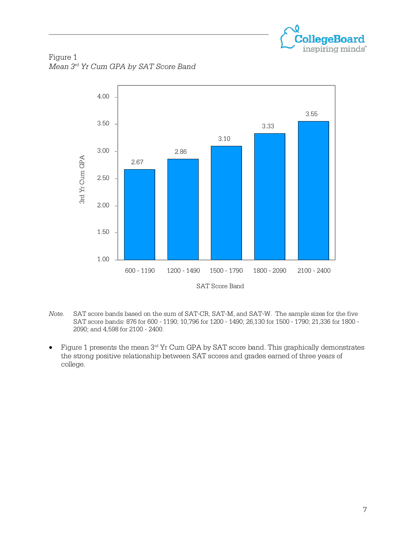

Figure 1 *Mean 3rd Yr Cum GPA by SAT Score Band*



- *Note.* SAT score bands based on the sum of SAT-CR, SAT-M, and SAT-W. The sample sizes for the five SAT score bands: 876 for 600 - 1190; 10,796 for 1200 - 1490; 26,130 for 1500 - 1790; 21,336 for 1800 - 2090; and 4,598 for 2100 - 2400.
- Figure 1 presents the mean 3rd Yr Cum GPA by SAT score band. This graphically demonstrates the strong positive relationship between SAT scores and grades earned of three years of college.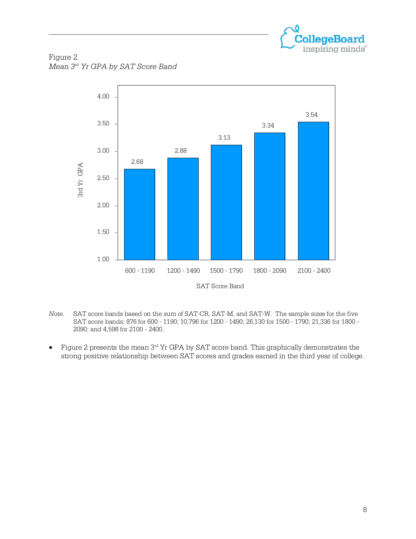

Figure 2 *Mean 3rd Yr GPA by SAT Score Band*



- *Note.* SAT score bands based on the sum of SAT-CR, SAT-M, and SAT-W. The sample sizes for the five SAT score bands: 876 for 600 - 1190; 10,796 for 1200 - 1490; 26,130 for 1500 - 1790; 21,336 for 1800 - 2090; and 4,598 for 2100 - 2400.
- Figure 2 presents the mean 3<sup>rd</sup> Yr GPA by SAT score band. This graphically demonstrates the strong positive relationship between SAT scores and grades earned in the third year of college.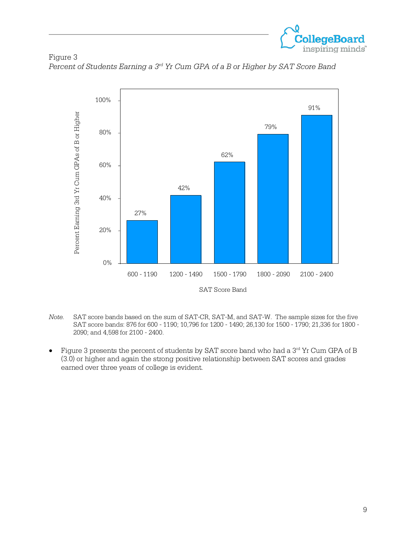

Figure 3 *Percent of Students Earning a 3rd Yr Cum GPA of a B or Higher by SAT Score Band*



- *Note.* SAT score bands based on the sum of SAT-CR, SAT-M, and SAT-W. The sample sizes for the five SAT score bands: 876 for 600 - 1190; 10,796 for 1200 - 1490; 26,130 for 1500 - 1790; 21,336 for 1800 - 2090; and 4,598 for 2100 - 2400.
- Figure 3 presents the percent of students by SAT score band who had a 3rd Yr Cum GPA of B (3.0) or higher and again the strong positive relationship between SAT scores and grades earned over three years of college is evident.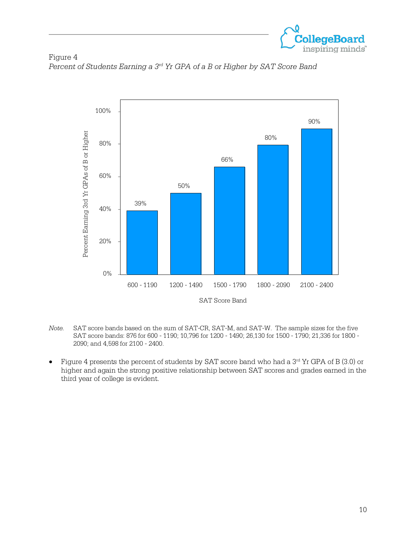

Figure 4 *Percent of Students Earning a 3rd Yr GPA of a B or Higher by SAT Score Band*



*Note.* SAT score bands based on the sum of SAT-CR, SAT-M, and SAT-W. The sample sizes for the five SAT score bands: 876 for 600 - 1190; 10,796 for 1200 - 1490; 26,130 for 1500 - 1790; 21,336 for 1800 - 2090; and 4,598 for 2100 - 2400.

Figure 4 presents the percent of students by SAT score band who had a  $3<sup>rd</sup>$  Yr GPA of B (3.0) or higher and again the strong positive relationship between SAT scores and grades earned in the third year of college is evident.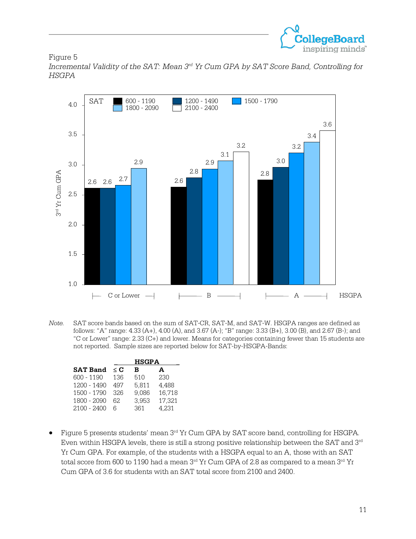

Figure 5

*Incremental Validity of the SAT: Mean 3rd Yr Cum GPA by SAT Score Band, Controlling for HSGPA*



*Note.* SAT score bands based on the sum of SAT-CR, SAT-M, and SAT-W. HSGPA ranges are defined as follows: "A" range: 4.33 (A+), 4.00 (A), and 3.67 (A-); "B" range: 3.33 (B+), 3.00 (B), and 2.67 (B-); and "C or Lower" range: 2.33 (C+) and lower. Means for categories containing fewer than 15 students are not reported. Sample sizes are reported below for SAT-by-HSGPA-Bands:

|                 | <b>HSGPA</b> |       |        |  |  |  |  |  |
|-----------------|--------------|-------|--------|--|--|--|--|--|
| <b>SAT Band</b> | $\leq$ C     | в     | A      |  |  |  |  |  |
| 600 - 1190      | 136          | 510   | 230    |  |  |  |  |  |
| $1200 - 1490$   | 497          | 5,811 | 4,488  |  |  |  |  |  |
| 1500 - 1790     | 326          | 9,086 | 16,718 |  |  |  |  |  |
| 1800 - 2090     | 62.          | 3,953 | 17,321 |  |  |  |  |  |
| 2100 - 2400     |              | 361   | 4,231  |  |  |  |  |  |

• Figure 5 presents students' mean  $3<sup>rd</sup>$  Yr Cum GPA by SAT score band, controlling for HSGPA. Even within HSGPA levels, there is still a strong positive relationship between the SAT and  $3<sup>rd</sup>$ Yr Cum GPA. For example, of the students with a HSGPA equal to an A, those with an SAT total score from 600 to 1190 had a mean  $3<sup>rd</sup>$  Yr Cum GPA of 2.8 as compared to a mean  $3<sup>rd</sup>$  Yr Cum GPA of 3.6 for students with an SAT total score from 2100 and 2400.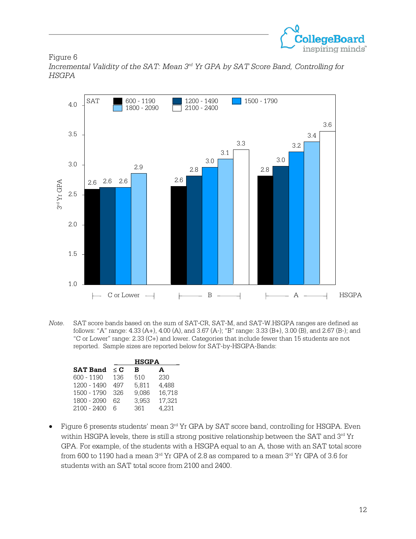

Figure 6 *Incremental Validity of the SAT: Mean 3rd Yr GPA by SAT Score Band, Controlling for HSGPA*



*Note*. SAT score bands based on the sum of SAT-CR, SAT-M, and SAT-W.HSGPA ranges are defined as follows: "A" range: 4.33 (A+), 4.00 (A), and 3.67 (A-); "B" range: 3.33 (B+), 3.00 (B), and 2.67 (B-); and "C or Lower" range: 2.33 (C+) and lower. Categories that include fewer than 15 students are not reported. Sample sizes are reported below for SAT-by-HSGPA-Bands:

|                 |          | <b>HSGPA</b> |        |
|-----------------|----------|--------------|--------|
| <b>SAT Band</b> | $\leq$ C | в            | A      |
| 600 - 1190      | 136      | 510          | 230    |
| 1200 - 1490     | 497      | 5,811        | 4,488  |
| 1500 - 1790     | 326      | 9,086        | 16,718 |
| 1800 - 2090     | 62.      | 3,953        | 17,321 |
| 2100 - 2400     |          | 361          | 4.231  |

• Figure 6 presents students' mean 3<sup>rd</sup> Yr GPA by SAT score band, controlling for HSGPA. Even within HSGPA levels, there is still a strong positive relationship between the SAT and 3rd Yr GPA. For example, of the students with a HSGPA equal to an A, those with an SAT total score from 600 to 1190 had a mean  $3<sup>rd</sup>$  Yr GPA of 2.8 as compared to a mean  $3<sup>rd</sup>$  Yr GPA of 3.6 for students with an SAT total score from 2100 and 2400.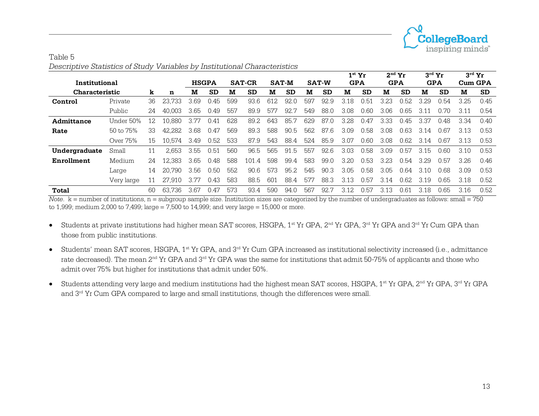

|                       |            |    |        |              |           |     |               |     |              |     |              |            | $1st$ Yr  |            | $2nd$ Yr  | $3^{\text{rd}}$ Yr |           | $3^{\text{rd}}$ Yr |           |
|-----------------------|------------|----|--------|--------------|-----------|-----|---------------|-----|--------------|-----|--------------|------------|-----------|------------|-----------|--------------------|-----------|--------------------|-----------|
| Institutional         |            |    |        | <b>HSGPA</b> |           |     | <b>SAT-CR</b> |     | <b>SAT-M</b> |     | <b>SAT-W</b> | <b>GPA</b> |           | <b>GPA</b> |           | <b>GPA</b>         |           | <b>Cum GPA</b>     |           |
| <b>Characteristic</b> |            | k  | n      | M            | <b>SD</b> | м   | <b>SD</b>     | M   | SD           | M   | <b>SD</b>    | M          | <b>SD</b> | м          | <b>SD</b> | м                  | <b>SD</b> | M                  | <b>SD</b> |
| Control               | Private    | 36 | 23.733 | 3.69         | 0.45      | 599 | 93.6          | 612 | 92.0         | 597 | 92.9         | 3.18       | 0.51      | 3.23       | 0.52      | 3.29               | 0.54      | 3.25               | 0.45      |
|                       | Public     | 24 | 40.003 | 3.65         | 0.49      | 557 | 89.9          | 577 | 92.7         | 549 | 88.0         | 3.08       | 0.60      | 3.06       | 0.65      | 3.11               | 0.70      | 3.11               | 0.54      |
| Admittance            | Under 50%  | 12 | 10.880 | 3.77         | 0.41      | 628 | 89.2          | 643 | 85.7         | 629 | 87.0         | 3.28       | 0.47      | 3.33       | 0.45      | 3.37               | 0.48      | 3.34               | 0.40      |
| Rate                  | 50 to 75%  | 33 | 42.282 | 3.68         | 0.47      | 569 | 89.3          | 588 | 90.5         | 562 | 87.6         | 3.09       | 0.58      | 3.08       | 0.63      | 3.14               | 0.67      | 3.13               | 0.53      |
|                       | Over 75%   | 15 | 10.574 | 3.49         | 0.52.     | 533 | 87.9          | 543 | 88.4         | 524 | 85.9         | 3.07       | 0.60      | 3.08       | 0.62      | 3.14               | 0.67      | 3.13               | 0.53      |
| Undergraduate         | Small      |    | 2.653  | 3.55         | 0.51      | 560 | 96.5          | 565 | 91.5         | 557 | 92.6         | 3.03       | 0.58      | 3.09       | 0.57      | 3.15               | 0.60      | 3.10               | 0.53      |
| Enrollment            | Medium     | 24 | 12.383 | 3.65         | 0.48      | 588 | 101.4         | 598 | 99.4         | 583 | 99.0         | 3.20       | 0.53      | 3.23       | 0.54      | 3 29               | 0.57      | 3.26               | 0.46      |
|                       | Large      | 14 | 20.790 | 3.56         | 0.50      | 552 | 90.6          | 573 | 95.2         | 545 | 90.3         | 3.05       | 0.58      | 3.05       | 0.64      | 3.10               | 0.68      | 3.09               | 0.53      |
|                       | Very large |    | 27.910 | 3.77         | 0.43      | 583 | 88.5          | 601 | 88.4         | 577 | 88.3         | 3.13       | 0.57      | 3.14       | 0.62      | 3.19               | 0.65      | 3.18               | 0.52      |
| Total                 |            | 60 | 63.736 | 3.67         | 0.47      | 573 | 93.4          | 590 | 94.0         | 567 | 92.7         | 3.12       | 0.57      | 3.13       | 0.61      | 3.18               | 0.65      | 3.16               | 0.52      |

| Table 5 |                                                                            |
|---------|----------------------------------------------------------------------------|
|         | Descriptive Statistics of Study Variables by Institutional Characteristics |

*Note*. k = number of institutions, n = subgroup sample size. Institution sizes are categorized by the number of undergraduates as follows: small = 750 to 1,999; medium 2,000 to 7,499; large = 7,500 to 14,999; and very large = 15,000 or more.

- Students at private institutions had higher mean SAT scores, HSGPA,  $1^{\text{st}}$  Yr GPA,  $2^{\text{nd}}$  Yr GPA,  $3^{\text{rd}}$  Yr GPA and  $3^{\text{rd}}$  Yr Cum GPA than those from public institutions.
- Students' mean SAT scores, HSGPA, 1<sup>st</sup> Yr GPA, and 3<sup>rd</sup> Yr Cum GPA increased as institutional selectivity increased (i.e., admittance rate decreased). The mean 2nd Yr GPA and 3rd Yr GPA was the same for institutions that admit 50-75% of applicants and those who admit over 75% but higher for institutions that admit under 50%.
- Students attending very large and medium institutions had the highest mean SAT scores, HSGPA,  $1^{\text{st}}$  Yr GPA,  $2^{\text{nd}}$  Yr GPA,  $3^{\text{rd}}$  Yr GPA and 3rd Yr Cum GPA compared to large and small institutions, though the differences were small.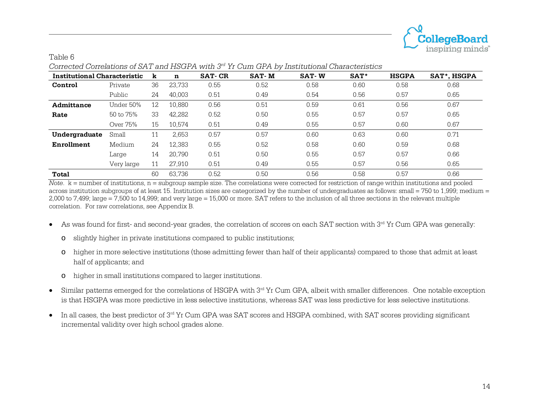

| Institutional Characteristic |            | k  | n      | <b>SAT-CR</b> | <b>SAT-M</b> | <b>SAT-W</b> | SAT <sup>*</sup> | <b>HSGPA</b> | SAT*, HSGPA |
|------------------------------|------------|----|--------|---------------|--------------|--------------|------------------|--------------|-------------|
| Control                      | Private    | 36 | 23,733 | 0.55          | 0.52         | 0.58         | 0.60             | 0.58         | 0.68        |
|                              | Public     | 24 | 40.003 | 0.51          | 0.49         | 0.54         | 0.56             | 0.57         | 0.65        |
| Admittance                   | Under 50%  | 12 | 10,880 | 0.56          | 0.51         | 0.59         | 0.61             | 0.56         | 0.67        |
| Rate                         | 50 to 75%  | 33 | 42,282 | 0.52          | 0.50         | 0.55<br>0.57 |                  | 0.57         | 0.65        |
|                              | Over 75%   | 15 | 10,574 | 0.51          | 0.49         | 0.55         | 0.57             | 0.60         | 0.67        |
| Undergraduate                | Small      | 11 | 2,653  | 0.57          | 0.57         | 0.60         | 0.63             | 0.60         | 0.71        |
| Enrollment                   | Medium     | 24 | 12,383 | 0.55          | 0.52         | 0.58         | 0.60             | 0.59         | 0.68        |
|                              | Large      | 14 | 20.790 | 0.51          | 0.50         | 0.55         | 0.57             | 0.57         | 0.66        |
|                              | Very large | 11 | 27.910 | 0.51          | 0.49         | 0.55         | 0.57             | 0.56         | 0.65        |
| Total                        |            | 60 | 63.736 | 0.52          | 0.50         | 0.56         | 0.58             | 0.57         | 0.66        |

*Corrected Correlations of SAT and HSGPA with 3rd Yr Cum GPA by Institutional Characteristics*

*Note*.  $k =$  number of institutions, n = subgroup sample size. The correlations were corrected for restriction of range within institutions and pooled across institution subgroups of at least 15. Institution sizes are categorized by the number of undergraduates as follows: small = 750 to 1,999; medium = 2,000 to 7,499; large = 7,500 to 14,999; and very large = 15,000 or more. SAT refers to the inclusion of all three sections in the relevant multiple correlation. For raw correlations, see Appendix B.

- As was found for first- and second-year grades, the correlation of scores on each SAT section with 3rd Yr Cum GPA was generally:
	- o slightly higher in private institutions compared to public institutions;
	- o higher in more selective institutions (those admitting fewer than half of their applicants) compared to those that admit at least half of applicants; and
	- o higher in small institutions compared to larger institutions.

Table 6

- Similar patterns emerged for the correlations of HSGPA with 3<sup>rd</sup> Yr Cum GPA, albeit with smaller differences. One notable exception is that HSGPA was more predictive in less selective institutions, whereas SAT was less predictive for less selective institutions.
- In all cases, the best predictor of 3<sup>rd</sup> Yr Cum GPA was SAT scores and HSGPA combined, with SAT scores providing significant incremental validity over high school grades alone.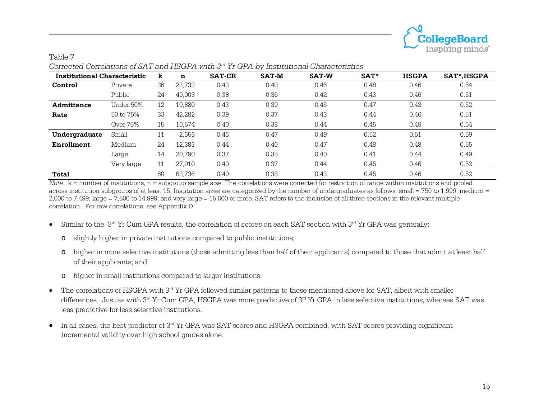

| Institutional Characteristic |            | k  | n      | <b>SAT-CR</b> | <b>SAT-M</b> | <b>SAT-W</b> | SAT <sup>*</sup> | <b>HSGPA</b> | SAT*, HSGPA |
|------------------------------|------------|----|--------|---------------|--------------|--------------|------------------|--------------|-------------|
| Control                      | Private    | 36 | 23,733 | 0.43          | 0.40         | 0.46         | 0.48             | 0.46         | 0.54        |
|                              | Public     | 24 | 40,003 | 0.38          | 0.36         | 0.42         | 0.43             | 0.46         | 0.51        |
| Admittance                   | Under 50%  | 12 | 10,880 | 0.43          | 0.39         | 0.46         | 0.47             | 0.43         | 0.52        |
| Rate                         | 50 to 75%  | 33 | 42,282 | 0.39          | 0.37         | 0.43         | 0.44             | 0.46         | 0.51        |
|                              | Over 75%   | 15 | 10,574 | 0.40          | 0.38         | 0.44         | 0.45             | 0.49         | 0.54        |
| Undergraduate                | Small      | 11 | 2,653  | 0.46          | 0.47         | 0.49         | 0.52             | 0.51         | 0.59        |
| Enrollment                   | Medium     | 24 | 12,383 | 0.44          | 0.40         | 0.47         | 0.48             | 0.48         | 0.55        |
|                              | Large      | 14 | 20,790 | 0.37          | 0.35         | 0.40         | 0.41             | 0.44         | 0.49        |
|                              | Very large |    | 27.910 | 0.40          | 0.37         | 0.44         | 0.45             | 0.46         | 0.52        |
| Total                        |            | 60 | 63.736 | 0.40          | 0.38         | 0.43         | 0.45             | 0.46         | 0.52        |

## *Corrected Correlations of SAT and HSGPA with 3rd Yr GPA by Institutional Characteristics*

Table 7

*Note*.  $k =$  number of institutions, n = subgroup sample size. The correlations were corrected for restriction of range within institutions and pooled across institution subgroups of at least 15. Institution sizes are categorized by the number of undergraduates as follows: small = 750 to 1,999; medium = 2,000 to 7,499; large = 7,500 to 14,999; and very large = 15,000 or more. SAT refers to the inclusion of all three sections in the relevant multiple correlation. For raw correlations, see Appendix D.

- Similar to the  $3<sup>rd</sup>$  Yr Cum GPA results, the correlation of scores on each SAT section with  $3<sup>rd</sup>$  Yr GPA was generally:
	- o slightly higher in private institutions compared to public institutions;
	- o higher in more selective institutions (those admitting less than half of their applicants) compared to those that admit at least half of their applicants; and
	- o higher in small institutions compared to larger institutions.
- The correlations of HSGPA with 3<sup>rd</sup> Yr GPA followed similar patterns to those mentioned above for SAT, albeit with smaller differences. Just as with 3<sup>rd</sup> Yr Cum GPA, HSGPA was more predictive of 3<sup>rd</sup> Yr GPA in less selective institutions, whereas SAT was less predictive for less selective institutions.
- In all cases, the best predictor of 3<sup>rd</sup> Yr GPA was SAT scores and HSGPA combined, with SAT scores providing significant incremental validity over high school grades alone.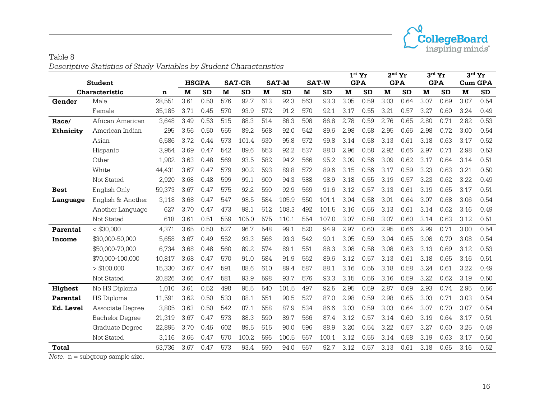

#### Table 8 *Descriptive Statistics of Study Variables by Student Characteristics*

|                  |                                         |        |      |              |     |               |     |              |     |              |      | $1st$ Yr   |      | $2nd$ Yr   |      | $3^{\text{rd}}$ Yr |      | $3^{\text{rd}}$ Yr |
|------------------|-----------------------------------------|--------|------|--------------|-----|---------------|-----|--------------|-----|--------------|------|------------|------|------------|------|--------------------|------|--------------------|
|                  | <b>Student</b>                          |        |      | <b>HSGPA</b> |     | <b>SAT-CR</b> |     | <b>SAT-M</b> |     | <b>SAT-W</b> |      | <b>GPA</b> |      | <b>GPA</b> |      | <b>GPA</b>         |      | <b>Cum GPA</b>     |
|                  | Characteristic                          | n      | M    | <b>SD</b>    | M   | <b>SD</b>     | M   | <b>SD</b>    | M   | <b>SD</b>    | M    | <b>SD</b>  | M    | <b>SD</b>  | M    | <b>SD</b>          | M    | SD                 |
| Gender           | Male                                    | 28,551 | 3.61 | 0.50         | 576 | 92.7          | 613 | 92.3         | 563 | 93.3         | 3.05 | 0.59       | 3.03 | 0.64       | 3.07 | 0.69               | 3.07 | 0.54               |
|                  | Female                                  | 35.185 | 3.71 | 0.45         | 570 | 93.9          | 572 | 91.2         | 570 | 92.1         | 3.17 | 0.55       | 3.21 | 0.57       | 3.27 | 0.60               | 3.24 | 0.49               |
| Race/            | African American                        | 3.648  | 3.49 | 0.53         | 515 | 88.3          | 514 | 86.3         | 508 | 86.8         | 2.78 | 0.59       | 2.76 | 0.65       | 2.80 | 0.71               | 2.82 | 0.53               |
| <b>Ethnicity</b> | American Indian                         | 295    | 3.56 | 0.50         | 555 | 89.2          | 568 | 92.0         | 542 | 89.6         | 2.98 | 0.58       | 2.95 | 0.66       | 2.98 | 0.72               | 3.00 | 0.54               |
|                  | Asian                                   | 6,586  | 3.72 | 0.44         | 573 | 101.4         | 630 | 95.8         | 572 | 99.8         | 3.14 | 0.58       | 3.13 | 0.61       | 3.18 | 0.63               | 3.17 | 0.52               |
|                  | Hispanic                                | 3,954  | 3.69 | 0.47         | 542 | 89.6          | 553 | 92.2         | 537 | 88.0         | 2.96 | 0.58       | 2.92 | 0.66       | 2.97 | 0.71               | 2.98 | 0.53               |
|                  | Other                                   | 1,902  | 3.63 | 0.48         | 569 | 93.5          | 582 | 94.2         | 566 | 95.2         | 3.09 | 0.56       | 3.09 | 0.62       | 3.17 | 0.64               | 3.14 | 0.51               |
|                  | White                                   | 44.431 | 3.67 | 0.47         | 579 | 90.2          | 593 | 89.8         | 572 | 89.6         | 3.15 | 0.56       | 3.17 | 0.59       | 3.23 | 0.63               | 3.21 | 0.50               |
|                  | Not Stated                              | 2,920  | 3.68 | 0.48         | 599 | 99.1          | 600 | 94.3         | 588 | 98.9         | 3.18 | 0.55       | 3.19 | 0.57       | 3.23 | 0.62               | 3.22 | 0.49               |
| <b>Best</b>      | English Only                            | 59,373 | 3.67 | 0.47         | 575 | 92.2          | 590 | 92.9         | 569 | 91.6         | 3.12 | 0.57       | 3.13 | 0.61       | 3.19 | 0.65               | 3.17 | 0.51               |
| Language         | English & Another                       | 3.118  | 3.68 | 0.47         | 547 | 98.5          | 584 | 105.9        | 550 | 101.1        | 3.04 | 0.58       | 3.01 | 0.64       | 3.07 | 0.68               | 3.06 | 0.54               |
|                  | Another Language                        | 627    | 3.70 | 0.47         | 473 | 98.1          | 612 | 108.3        | 492 | 101.5        | 3.16 | 0.56       | 3.13 | 0.61       | 3.14 | 0.62               | 3.16 | 0.49               |
|                  | Not Stated                              | 618    | 3.61 | 0.51         | 559 | 105.0         | 575 | 110.1        | 554 | 107.0        | 3.07 | 0.58       | 3.07 | 0.60       | 3.14 | 0.63               | 3.12 | 0.51               |
| Parental         | $<$ \$30,000                            | 4,371  | 3.65 | 0.50         | 527 | 96.7          | 548 | 99.1         | 520 | 94.9         | 2.97 | 0.60       | 2.95 | 0.66       | 2.99 | 0.71               | 3.00 | 0.54               |
| Income           | \$30,000-50,000                         | 5.658  | 3.67 | 0.49         | 552 | 93.3          | 566 | 93.3         | 542 | 90.1         | 3.05 | 0.59       | 3.04 | 0.65       | 3.08 | 0.70               | 3.08 | 0.54               |
|                  | \$50,000-70,000                         | 6.734  | 3.68 | 0.48         | 560 | 89.2          | 574 | 89.1         | 551 | 88.3         | 3.08 | 0.58       | 3.08 | 0.63       | 3.13 | 0.69               | 3.12 | 0.53               |
|                  | \$70,000-100,000                        | 10,817 | 3.68 | 0.47         | 570 | 91.0          | 584 | 91.9         | 562 | 89.6         | 3.12 | 0.57       | 3.13 | 0.61       | 3.18 | 0.65               | 3.16 | 0.51               |
|                  | > \$100,000                             | 15,330 | 3.67 | 0.47         | 591 | 88.6          | 610 | 89.4         | 587 | 88.1         | 3.16 | 0.55       | 3.18 | 0.58       | 3.24 | 0.61               | 3.22 | 0.49               |
|                  | Not Stated                              | 20,826 | 3.66 | 0.47         | 581 | 93.9          | 598 | 93.7         | 576 | 93.3         | 3.15 | 0.56       | 3.16 | 0.59       | 3.22 | 0.62               | 3.19 | 0.50               |
| <b>Highest</b>   | No HS Diploma                           | 1,010  | 3.61 | 0.52         | 498 | 95.5          | 540 | 101.5        | 497 | 92.5         | 2.95 | 0.59       | 2.87 | 0.69       | 2.93 | 0.74               | 2.95 | 0.56               |
| Parental         | <b>HS Diploma</b>                       | 11,591 | 3.62 | 0.50         | 533 | 88.1          | 551 | 90.5         | 527 | 87.0         | 2.98 | 0.59       | 2.98 | 0.65       | 3.03 | 0.71               | 3.03 | 0.54               |
| Ed. Level        | Associate Degree                        | 3,805  | 3.63 | 0.50         | 542 | 87.1          | 558 | 87.9         | 534 | 86.6         | 3.03 | 0.59       | 3.03 | 0.64       | 3.07 | 0.70               | 3.07 | 0.54               |
|                  | <b>Bachelor Degree</b>                  | 21,319 | 3.67 | 0.47         | 573 | 88.3          | 590 | 89.7         | 566 | 87.4         | 3.12 | 0.57       | 3.14 | 0.60       | 3.19 | 0.64               | 3.17 | 0.51               |
|                  | Graduate Degree                         | 22,895 | 3.70 | 0.46         | 602 | 89.5          | 616 | 90.0         | 596 | 88.9         | 3.20 | 0.54       | 3.22 | 0.57       | 3.27 | 0.60               | 3.25 | 0.49               |
|                  | Not Stated                              | 3,116  | 3.65 | 0.47         | 570 | 100.2         | 596 | 100.5        | 567 | 100.1        | 3.12 | 0.56       | 3.14 | 0.58       | 3.19 | 0.63               | 3.17 | 0.50               |
| <b>Total</b>     |                                         | 63,736 | 3.67 | 0.47         | 573 | 93.4          | 590 | 94.0         | 567 | 92.7         | 3.12 | 0.57       | 3.13 | 0.61       | 3.18 | 0.65               | 3.16 | 0.52               |
|                  | $M0$ to $n =$ subsyssive segments since |        |      |              |     |               |     |              |     |              |      |            |      |            |      |                    |      |                    |

*Note*. n = subgroup sample size.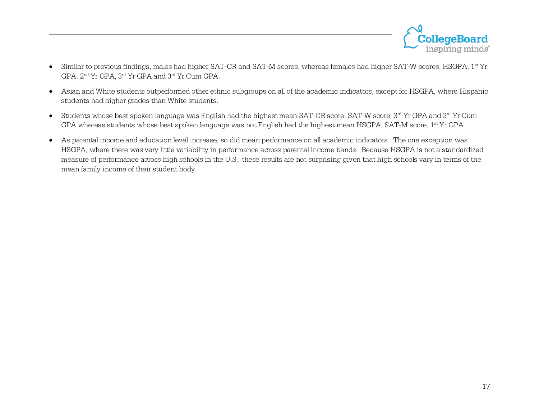

- Similar to previous findings, males had higher SAT-CR and SAT-M scores, whereas females had higher SAT-W scores, HSGPA, 1st Yr GPA, 2nd Yr GPA, 3rd Yr GPA and 3rd Yr Cum GPA.
- Asian and White students outperformed other ethnic subgroups on all of the academic indicators, except for HSGPA, where Hispanic students had higher grades than White students.
- Students whose best spoken language was English had the highest mean SAT-CR score, SAT-W score,  $3^{rd}$  Yr GPA and  $3^{rd}$  Yr Cum GPA whereas students whose best spoken language was not English had the highest mean HSGPA, SAT-M score, 1<sup>st</sup> Yr GPA.
- As parental income and education level increase, so did mean performance on all academic indicators. The one exception was HSGPA, where there was very little variability in performance across parental income bands. Because HSGPA is not a standardized measure of performance across high schools in the U.S., these results are not surprising given that high schools vary in terms of the mean family income of their student body.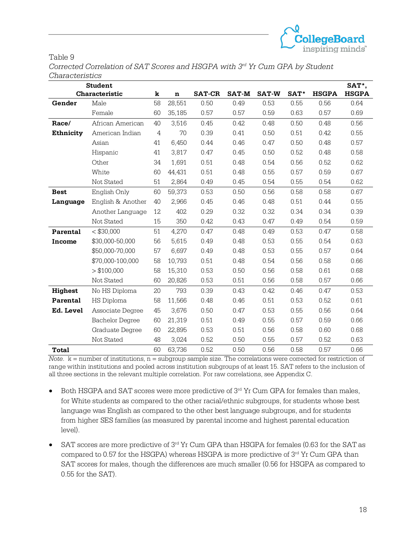

#### Table 9

*Corrected Correlation of SAT Scores and HSGPA with 3rd Yr Cum GPA by Student Characteristics*

|                | <b>Student</b>         |    |             |               |              |              |      |              | SAT*,        |
|----------------|------------------------|----|-------------|---------------|--------------|--------------|------|--------------|--------------|
|                | Characteristic         | k  | $\mathbf n$ | <b>SAT-CR</b> | <b>SAT-M</b> | <b>SAT-W</b> | SAT* | <b>HSGPA</b> | <b>HSGPA</b> |
| Gender         | Male                   | 58 | 28,551      | 0.50          | 0.49         | 0.53         | 0.55 | 0.56         | 0.64         |
|                | Female                 | 60 | 35,185      | 0.57          | 0.57         | 0.59         | 0.63 | 0.57         | 0.69         |
| Race/          | African American       | 40 | 3,516       | 0.45          | 0.42         | 0.48         | 0.50 | 0.48         | 0.56         |
| Ethnicity      | American Indian        | 4  | 70          | 0.39          | 0.41         | 0.50         | 0.51 | 0.42         | 0.55         |
|                | Asian                  | 41 | 6,450       | 0.44          | 0.46         | 0.47         | 0.50 | 0.48         | 0.57         |
|                | Hispanic               | 41 | 3,817       | 0.47          | 0.45         | 0.50         | 0.52 | 0.48         | 0.58         |
|                | Other                  | 34 | 1,691       | 0.51          | 0.48         | 0.54         | 0.56 | 0.52         | 0.62         |
|                | White                  | 60 | 44,431      | 0.51          | 0.48         | 0.55         | 0.57 | 0.59         | 0.67         |
|                | Not Stated             | 51 | 2,864       | 0.49          | 0.45         | 0.54         | 0.55 | 0.54         | 0.62         |
| <b>Best</b>    | English Only           | 60 | 59,373      | 0.53          | 0.50         | 0.56         | 0.58 | 0.58         | 0.67         |
| Language       | English & Another      | 40 | 2,966       | 0.45          | 0.46         | 0.48         | 0.51 | 0.44         | 0.55         |
|                | Another Language       | 12 | 402         | 0.29          | 0.32         | 0.32         | 0.34 | 0.34         | 0.39         |
|                | Not Stated             | 15 | 350         | 0.42          | 0.43         | 0.47         | 0.49 | 0.54         | 0.59         |
| Parental       | < \$30,000             | 51 | 4,270       | 0.47          | 0.48         | 0.49         | 0.53 | 0.47         | 0.58         |
| <b>Income</b>  | \$30,000-50,000        | 56 | 5,615       | 0.49          | 0.48         | 0.53         | 0.55 | 0.54         | 0.63         |
|                | \$50,000-70,000        | 57 | 6,697       | 0.49          | 0.48         | 0.53         | 0.55 | 0.57         | 0.64         |
|                | \$70,000-100,000       | 58 | 10,793      | 0.51          | 0.48         | 0.54         | 0.56 | 0.58         | 0.66         |
|                | > \$100,000            | 58 | 15,310      | 0.53          | 0.50         | 0.56         | 0.58 | 0.61         | 0.68         |
|                | Not Stated             | 60 | 20,826      | 0.53          | 0.51         | 0.56         | 0.58 | 0.57         | 0.66         |
| <b>Highest</b> | No HS Diploma          | 20 | 793         | 0.39          | 0.43         | 0.42         | 0.46 | 0.47         | 0.53         |
| Parental       | HS Diploma             | 58 | 11,566      | 0.48          | 0.46         | 0.51         | 0.53 | 0.52         | 0.61         |
| Ed. Level      | Associate Degree       | 45 | 3,676       | 0.50          | 0.47         | 0.53         | 0.55 | 0.56         | 0.64         |
|                | <b>Bachelor Degree</b> | 60 | 21,319      | 0.51          | 0.49         | 0.55         | 0.57 | 0.59         | 0.66         |
|                | Graduate Degree        | 60 | 22,895      | 0.53          | 0.51         | 0.56         | 0.58 | 0.60         | 0.68         |
|                | Not Stated             | 48 | 3,024       | 0.52          | 0.50         | 0.55         | 0.57 | 0.52         | 0.63         |
| Total          |                        | 60 | 63,736      | 0.52          | 0.50         | 0.56         | 0.58 | 0.57         | 0.66         |

*Note*.  $k =$  number of institutions,  $n =$  subgroup sample size. The correlations were corrected for restriction of range within institutions and pooled across institution subgroups of at least 15. SAT refers to the inclusion of all three sections in the relevant multiple correlation. For raw correlations, see Appendix C.

- Both HSGPA and SAT scores were more predictive of  $3<sup>rd</sup>$  Yr Cum GPA for females than males, for White students as compared to the other racial/ethnic subgroups, for students whose best language was English as compared to the other best language subgroups, and for students from higher SES families (as measured by parental income and highest parental education level).
- SAT scores are more predictive of  $3<sup>rd</sup>$  Yr Cum GPA than HSGPA for females (0.63 for the SAT as compared to 0.57 for the HSGPA) whereas HSGPA is more predictive of  $3<sup>rd</sup>$  Yr Cum GPA than SAT scores for males, though the differences are much smaller (0.56 for HSGPA as compared to 0.55 for the SAT).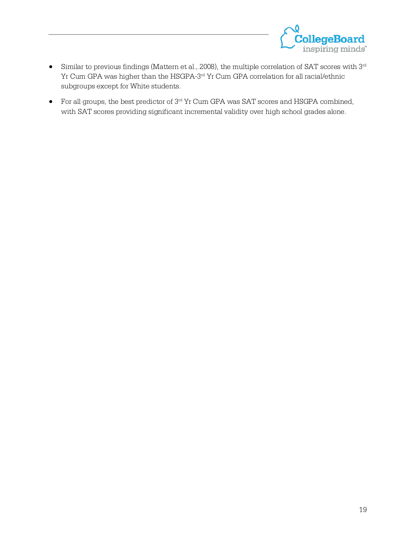

- Similar to previous findings (Mattern et al., 2008), the multiple correlation of SAT scores with 3rd Yr Cum GPA was higher than the HSGPA-3rd Yr Cum GPA correlation for all racial/ethnic subgroups except for White students.
- For all groups, the best predictor of 3<sup>rd</sup> Yr Cum GPA was SAT scores and HSGPA combined, with SAT scores providing significant incremental validity over high school grades alone.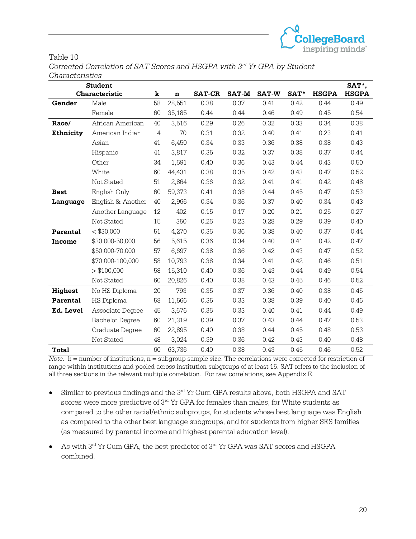

#### Table 10

*Corrected Correlation of SAT Scores and HSGPA with 3rd Yr GPA by Student Characteristics*

|                  | <b>Student</b>         |    |         |               |              |              |      |              | SAT*,        |
|------------------|------------------------|----|---------|---------------|--------------|--------------|------|--------------|--------------|
|                  | Characteristic         | k  | $\bf n$ | <b>SAT-CR</b> | <b>SAT-M</b> | <b>SAT-W</b> | SAT* | <b>HSGPA</b> | <b>HSGPA</b> |
| Gender           | Male                   | 58 | 28,551  | 0.38          | 0.37         | 0.41         | 0.42 | 0.44         | 0.49         |
|                  | Female                 | 60 | 35,185  | 0.44          | 0.44         | 0.46         | 0.49 | 0.45         | 0.54         |
| Race/            | African American       | 40 | 3,516   | 0.29          | 0.26         | 0.32         | 0.33 | 0.34         | 0.38         |
| <b>Ethnicity</b> | American Indian        | 4  | 70      | 0.31          | 0.32         | 0.40         | 0.41 | 0.23         | 0.41         |
|                  | Asian                  | 41 | 6,450   | 0.34          | 0.33         | 0.36         | 0.38 | 0.38         | 0.43         |
|                  | Hispanic               | 41 | 3,817   | 0.35          | 0.32         | 0.37         | 0.38 | 0.37         | 0.44         |
|                  | Other                  | 34 | 1,691   | 0.40          | 0.36         | 0.43         | 0.44 | 0.43         | 0.50         |
|                  | White                  | 60 | 44,431  | 0.38          | 0.35         | 0.42         | 0.43 | 0.47         | 0.52         |
|                  | Not Stated             | 51 | 2,864   | 0.36          | 0.32         | 0.41         | 0.41 | 0.42         | 0.48         |
| <b>Best</b>      | English Only           | 60 | 59,373  | 0.41          | 0.38         | 0.44         | 0.45 | 0.47         | 0.53         |
| Language         | English & Another      | 40 | 2,966   | 0.34          | 0.36         | 0.37         | 0.40 | 0.34         | 0.43         |
|                  | Another Language       | 12 | 402     | 0.15          | 0.17         | 0.20         | 0.21 | 0.25         | 0.27         |
|                  | Not Stated             | 15 | 350     | 0.26          | 0.23         | 0.28         | 0.29 | 0.39         | 0.40         |
| Parental         | $<$ \$30,000           | 51 | 4,270   | 0.36          | 0.36         | 0.38         | 0.40 | 0.37         | 0.44         |
| Income           | \$30,000-50,000        | 56 | 5,615   | 0.36          | 0.34         | 0.40         | 0.41 | 0.42         | 0.47         |
|                  | \$50,000-70,000        | 57 | 6,697   | 0.38          | 0.36         | 0.42         | 0.43 | 0.47         | 0.52         |
|                  | \$70,000-100,000       | 58 | 10,793  | 0.38          | 0.34         | 0.41         | 0.42 | 0.46         | 0.51         |
|                  | > \$100,000            | 58 | 15,310  | 0.40          | 0.36         | 0.43         | 0.44 | 0.49         | 0.54         |
|                  | Not Stated             | 60 | 20,826  | 0.40          | 0.38         | 0.43         | 0.45 | 0.46         | 0.52         |
| Highest          | No HS Diploma          | 20 | 793     | 0.35          | 0.37         | 0.36         | 0.40 | 0.38         | 0.45         |
| Parental         | HS Diploma             | 58 | 11,566  | 0.35          | 0.33         | 0.38         | 0.39 | 0.40         | 0.46         |
| Ed. Level        | Associate Degree       | 45 | 3,676   | 0.36          | 0.33         | 0.40         | 0.41 | 0.44         | 0.49         |
|                  | <b>Bachelor Degree</b> | 60 | 21,319  | 0.39          | 0.37         | 0.43         | 0.44 | 0.47         | 0.53         |
|                  | Graduate Degree        | 60 | 22,895  | 0.40          | 0.38         | 0.44         | 0.45 | 0.48         | 0.53         |
|                  | Not Stated             | 48 | 3,024   | 0.39          | 0.36         | 0.42         | 0.43 | 0.40         | 0.48         |
| Total            |                        | 60 | 63,736  | 0.40          | 0.38         | 0.43         | 0.45 | 0.46         | 0.52         |

*Note*.  $k =$  number of institutions,  $n =$  subgroup sample size. The correlations were corrected for restriction of range within institutions and pooled across institution subgroups of at least 15. SAT refers to the inclusion of all three sections in the relevant multiple correlation. For raw correlations, see Appendix E.

- $\bullet$  Similar to previous findings and the  $3^{rd}$  Yr Cum GPA results above, both HSGPA and SAT scores were more predictive of 3rd Yr GPA for females than males, for White students as compared to the other racial/ethnic subgroups, for students whose best language was English as compared to the other best language subgroups, and for students from higher SES families (as measured by parental income and highest parental education level).
- As with 3rd Yr Cum GPA, the best predictor of 3rd Yr GPA was SAT scores and HSGPA combined.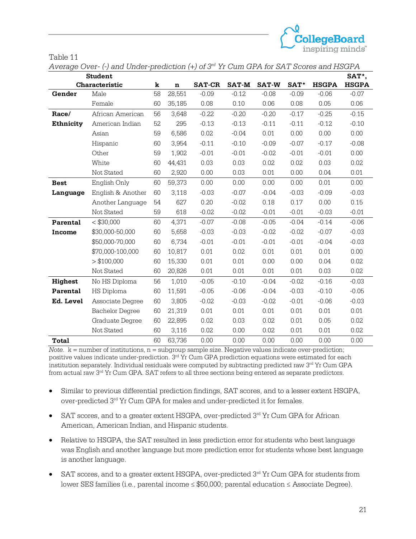

| anle |  |  |
|------|--|--|
|------|--|--|

*Average Over- (-) and Under-prediction (+) of 3rd Yr Cum GPA for SAT Scores and HSGPA*

|                  | <b>Student</b>         |    |             |               |              |              |         |              | SAT*,        |
|------------------|------------------------|----|-------------|---------------|--------------|--------------|---------|--------------|--------------|
|                  | Characteristic         | k  | $\mathbf n$ | <b>SAT-CR</b> | <b>SAT-M</b> | <b>SAT-W</b> | SAT*    | <b>HSGPA</b> | <b>HSGPA</b> |
| Gender           | Male                   | 58 | 28,551      | $-0.09$       | $-0.12$      | $-0.08$      | $-0.09$ | $-0.06$      | $-0.07$      |
|                  | Female                 | 60 | 35,185      | 0.08          | 0.10         | 0.06         | 0.08    | 0.05         | 0.06         |
| Race/            | African American       | 56 | 3,648       | $-0.22$       | $-0.20$      | $-0.20$      | $-0.17$ | $-0.25$      | $-0.15$      |
| <b>Ethnicity</b> | American Indian        | 52 | 295         | $-0.13$       | $-0.13$      | $-0.11$      | $-0.11$ | $-0.12$      | $-0.10$      |
|                  | Asian                  | 59 | 6,586       | 0.02          | $-0.04$      | 0.01         | 0.00    | 0.00         | 0.00         |
|                  | Hispanic               | 60 | 3,954       | $-0.11$       | $-0.10$      | $-0.09$      | $-0.07$ | $-0.17$      | $-0.08$      |
|                  | Other                  | 59 | 1,902       | $-0.01$       | $-0.01$      | $-0.02$      | $-0.01$ | $-0.01$      | 0.00         |
|                  | White                  | 60 | 44,431      | 0.03          | 0.03         | 0.02         | 0.02    | 0.03         | 0.02         |
|                  | Not Stated             | 60 | 2,920       | 0.00          | 0.03         | 0.01         | 0.00    | 0.04         | 0.01         |
| <b>Best</b>      | English Only           | 60 | 59,373      | 0.00          | 0.00         | 0.00         | 0.00    | 0.01         | 0.00         |
| Language         | English & Another      | 60 | 3,118       | $-0.03$       | $-0.07$      | $-0.04$      | $-0.03$ | $-0.09$      | $-0.03$      |
|                  | Another Language       | 54 | 627         | 0.20          | $-0.02$      | 0.18         | 0.17    | 0.00         | 0.15         |
|                  | Not Stated             | 59 | 618         | $-0.02$       | $-0.02$      | $-0.01$      | $-0.01$ | $-0.03$      | $-0.01$      |
| Parental         | $<$ \$30,000           | 60 | 4,371       | $-0.07$       | $-0.08$      | $-0.05$      | $-0.04$ | $-0.14$      | $-0.06$      |
| Income           | \$30,000-50,000        | 60 | 5,658       | $-0.03$       | $-0.03$      | $-0.02$      | $-0.02$ | $-0.07$      | $-0.03$      |
|                  | \$50,000-70,000        | 60 | 6,734       | $-0.01$       | $-0.01$      | $-0.01$      | $-0.01$ | $-0.04$      | $-0.03$      |
|                  | \$70,000-100,000       | 60 | 10,817      | 0.01          | 0.02         | 0.01         | 0.01    | 0.01         | 0.00         |
|                  | > \$100,000            | 60 | 15,330      | 0.01          | 0.01         | 0.00         | 0.00    | 0.04         | 0.02         |
|                  | Not Stated             | 60 | 20,826      | 0.01          | 0.01         | 0.01         | 0.01    | 0.03         | 0.02         |
| Highest          | No HS Diploma          | 56 | 1,010       | $-0.05$       | $-0.10$      | $-0.04$      | $-0.02$ | $-0.16$      | $-0.03$      |
| Parental         | <b>HS Diploma</b>      | 60 | 11,591      | $-0.05$       | $-0.06$      | $-0.04$      | $-0.03$ | $-0.10$      | $-0.05$      |
| Ed. Level        | Associate Degree       | 60 | 3,805       | $-0.02$       | $-0.03$      | $-0.02$      | $-0.01$ | $-0.06$      | $-0.03$      |
|                  | <b>Bachelor Degree</b> | 60 | 21,319      | 0.01          | 0.01         | 0.01         | 0.01    | 0.01         | 0.01         |
|                  | Graduate Degree        | 60 | 22,895      | 0.02          | 0.03         | 0.02         | 0.01    | 0.05         | 0.02         |
|                  | Not Stated             | 60 | 3,116       | 0.02          | 0.00         | 0.02         | 0.01    | 0.01         | 0.02         |
| Total            |                        | 60 | 63,736      | 0.00          | 0.00         | 0.00         | 0.00    | 0.00         | 0.00         |

 $Note.$   $k =$  number of institutions,  $n =$  subgroup sample size. Negative values indicate over-prediction; positive values indicate under-prediction. 3<sup>rd</sup> Yr Cum GPA prediction equations were estimated for each institution separately. Individual residuals were computed by subtracting predicted raw 3rd Yr Cum GPA from actual raw 3rd Yr Cum GPA. SAT refers to all three sections being entered as separate predictors.

- Similar to previous differential prediction findings, SAT scores, and to a lesser extent HSGPA, over-predicted 3<sup>rd</sup> Yr Cum GPA for males and under-predicted it for females.
- SAT scores, and to a greater extent HSGPA, over-predicted 3rd Yr Cum GPA for African American, American Indian, and Hispanic students.
- Relative to HSGPA, the SAT resulted in less prediction error for students who best language was English and another language but more prediction error for students whose best language is another language.
- SAT scores, and to a greater extent HSGPA, over-predicted  $3<sup>rd</sup>$  Yr Cum GPA for students from lower SES families (i.e., parental income ≤ \$50,000; parental education ≤ Associate Degree).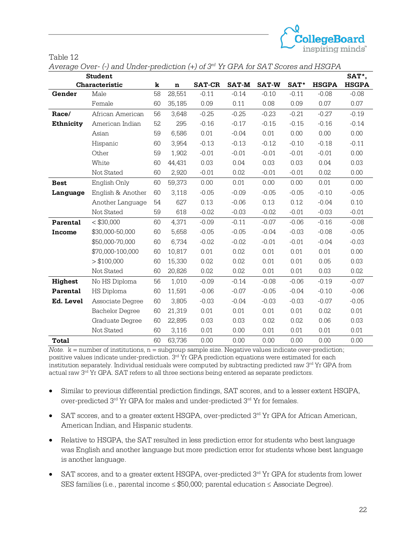

| 'able |  |
|-------|--|
|-------|--|

*Average Over- (-) and Under-prediction (+) of 3rd Yr GPA for SAT Scores and HSGPA*

|                  | <b>Student</b>         |    |         |               |              |              |         |              | SAT*,        |
|------------------|------------------------|----|---------|---------------|--------------|--------------|---------|--------------|--------------|
|                  | Characteristic         | k  | $\bf n$ | <b>SAT-CR</b> | <b>SAT-M</b> | <b>SAT-W</b> | SAT*    | <b>HSGPA</b> | <b>HSGPA</b> |
| Gender           | Male                   | 58 | 28,551  | $-0.11$       | $-0.14$      | $-0.10$      | $-0.11$ | $-0.08$      | $-0.08$      |
|                  | Female                 | 60 | 35,185  | 0.09          | 0.11         | 0.08         | 0.09    | 0.07         | 0.07         |
| Race/            | African American       | 56 | 3,648   | $-0.25$       | $-0.25$      | $-0.23$      | $-0.21$ | $-0.27$      | $-0.19$      |
| <b>Ethnicity</b> | American Indian        |    | 295     | $-0.16$       | $-0.17$      | $-0.15$      | $-0.15$ | $-0.16$      | $-0.14$      |
|                  | Asian                  | 59 | 6,586   | 0.01          | $-0.04$      | 0.01         | 0.00    | 0.00         | 0.00         |
|                  | Hispanic               | 60 | 3,954   | $-0.13$       | $-0.13$      | $-0.12$      | $-0.10$ | $-0.18$      | $-0.11$      |
|                  | Other                  | 59 | 1,902   | $-0.01$       | $-0.01$      | $-0.01$      | $-0.01$ | $-0.01$      | 0.00         |
|                  | White                  | 60 | 44,431  | 0.03          | 0.04         | 0.03         | 0.03    | 0.04         | 0.03         |
|                  | Not Stated             | 60 | 2,920   | $-0.01$       | 0.02         | $-0.01$      | $-0.01$ | 0.02         | 0.00         |
| <b>Best</b>      | English Only           | 60 | 59,373  | 0.00          | 0.01         | 0.00         | 0.00    | 0.01         | 0.00         |
| Language         | English & Another      | 60 | 3,118   | $-0.05$       | $-0.09$      | $-0.05$      | $-0.05$ | $-0.10$      | $-0.05$      |
|                  | Another Language       | 54 | 627     | 0.13          | $-0.06$      | 0.13         | 0.12    | $-0.04$      | 0.10         |
|                  | Not Stated             | 59 | 618     | $-0.02$       | $-0.03$      | $-0.02$      | $-0.01$ | $-0.03$      | $-0.01$      |
| Parental         | $<$ \$30,000           | 60 | 4,371   | $-0.09$       | $-0.11$      | $-0.07$      | $-0.06$ | $-0.16$      | $-0.08$      |
| Income           | \$30,000-50,000        | 60 | 5,658   | $-0.05$       | $-0.05$      | $-0.04$      | $-0.03$ | $-0.08$      | $-0.05$      |
|                  | \$50,000-70,000        | 60 | 6,734   | $-0.02$       | $-0.02$      | $-0.01$      | $-0.01$ | $-0.04$      | $-0.03$      |
|                  | \$70,000-100,000       | 60 | 10,817  | 0.01          | 0.02         | 0.01         | 0.01    | 0.01         | 0.00         |
|                  | > \$100,000            | 60 | 15,330  | 0.02          | 0.02         | 0.01         | 0.01    | 0.05         | 0.03         |
|                  | Not Stated             | 60 | 20,826  | 0.02          | 0.02         | 0.01         | 0.01    | 0.03         | 0.02         |
| Highest          | No HS Diploma          | 56 | 1,010   | $-0.09$       | $-0.14$      | $-0.08$      | $-0.06$ | $-0.19$      | $-0.07$      |
| Parental         | <b>HS Diploma</b>      | 60 | 11,591  | $-0.06$       | $-0.07$      | $-0.05$      | $-0.04$ | $-0.10$      | $-0.06$      |
| Ed. Level        | Associate Degree       | 60 | 3,805   | $-0.03$       | $-0.04$      | $-0.03$      | $-0.03$ | $-0.07$      | $-0.05$      |
|                  | <b>Bachelor Degree</b> | 60 | 21,319  | 0.01          | 0.01         | 0.01         | 0.01    | 0.02         | 0.01         |
|                  | Graduate Degree        | 60 | 22,895  | 0.03          | 0.03         | 0.02         | 0.02    | 0.06         | 0.03         |
|                  | Not Stated             | 60 | 3,116   | 0.01          | 0.00         | 0.01         | 0.01    | 0.01         | 0.01         |
| <b>Total</b>     |                        | 60 | 63,736  | 0.00          | 0.00         | 0.00         | 0.00    | 0.00         | 0.00         |

*Note.*  $k =$  number of institutions,  $n =$  subgroup sample size. Negative values indicate over-prediction; positive values indicate under-prediction. 3<sup>rd</sup> Yr GPA prediction equations were estimated for each institution separately. Individual residuals were computed by subtracting predicted raw 3rd Yr GPA from actual raw 3rd Yr GPA. SAT refers to all three sections being entered as separate predictors.

- Similar to previous differential prediction findings, SAT scores, and to a lesser extent HSGPA, over-predicted  $3<sup>rd</sup>$  Yr GPA for males and under-predicted  $3<sup>rd</sup>$  Yr for females.
- SAT scores, and to a greater extent HSGPA, over-predicted  $3<sup>rd</sup>$  Yr GPA for African American, American Indian, and Hispanic students.
- Relative to HSGPA, the SAT resulted in less prediction error for students who best language was English and another language but more prediction error for students whose best language is another language.
- SAT scores, and to a greater extent HSGPA, over-predicted  $3<sup>rd</sup>$  Yr GPA for students from lower SES families (i.e., parental income ≤ \$50,000; parental education ≤ Associate Degree).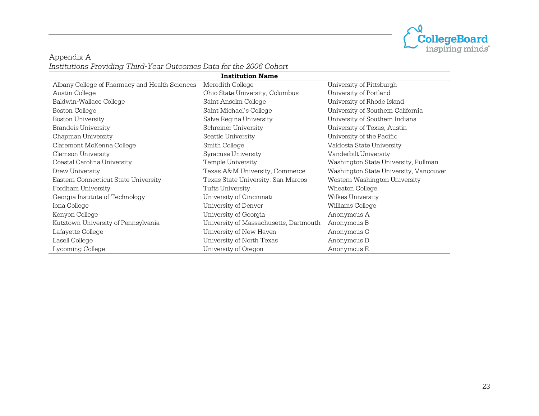

Appendix A *Institutions Providing Third-Year Outcomes Data for the 2006 Cohort*

|                                                | <b>Institution Name</b>                |                                        |
|------------------------------------------------|----------------------------------------|----------------------------------------|
| Albany College of Pharmacy and Health Sciences | Meredith College                       | University of Pittsburgh               |
| Austin College                                 | Ohio State University, Columbus        | University of Portland                 |
| Baldwin-Wallace College                        | Saint Anselm College                   | University of Rhode Island             |
| <b>Boston College</b>                          | Saint Michael's College                | University of Southem California       |
| <b>Boston University</b>                       | Salve Regina University                | University of Southem Indiana          |
| <b>Brandeis University</b>                     | Schreiner University                   | University of Texas, Austin            |
| Chapman University                             | Seattle University                     | University of the Pacific              |
| Claremont McKenna College                      | Smith College                          | Valdosta State University              |
| Clemson University                             | Syracuse University                    | Vanderbilt University                  |
| Coastal Carolina University                    | Temple University                      | Washington State University, Pullman   |
| Drew University                                | Texas A&M University, Commerce         | Washington State University, Vancouver |
| Eastern Connecticut State University           | Texas State University, San Marcos     | Western Washington University          |
| Fordham University                             | Tufts University                       | Wheaton College                        |
| Georgia Institute of Technology                | University of Cincinnati               | Wilkes University                      |
| Iona College                                   | University of Denver                   | Williams College                       |
| Kenyon College                                 | University of Georgia                  | Anonymous A                            |
| Kutztown University of Pennsylvania            | University of Massachusetts, Dartmouth | Anonymous B                            |
| Lafayette College                              | University of New Haven                | Anonymous C                            |
| Lasell College                                 | University of North Texas              | Anonymous D                            |
| Lycoming College                               | University of Oregon                   | Anonymous E                            |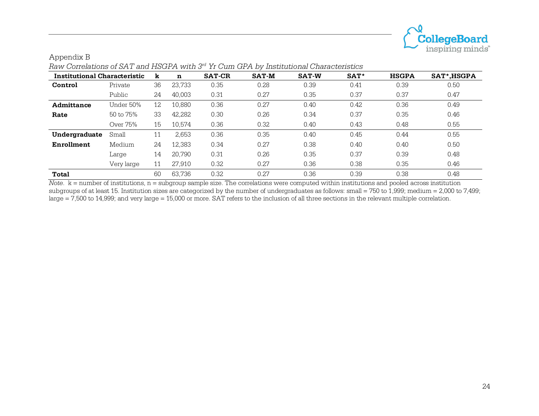

| <b>Institutional Characteristic</b> |            | k  | n      | <b>SAT-CR</b> | <b>SAT-M</b> | <b>SAT-W</b> | SAT <sup>*</sup> | <b>HSGPA</b> | SAT*, HSGPA |
|-------------------------------------|------------|----|--------|---------------|--------------|--------------|------------------|--------------|-------------|
| Control                             | Private    | 36 | 23.733 | 0.35          | 0.28         | 0.39         | 0.41             | 0.39         | 0.50        |
|                                     | Public     | 24 | 40,003 | 0.31          | 0.27         | 0.35         | 0.37             | 0.37         | 0.47        |
| Admittance                          | Under 50%  | 12 | 10,880 | 0.36          | 0.27         | 0.40         | 0.42             | 0.36         | 0.49        |
| Rate                                | 50 to 75%  | 33 | 42,282 | 0.30          | 0.26         | 0.34         | 0.37             | 0.35         | 0.46        |
|                                     | Over 75%   | 15 | 10,574 | 0.36          | 0.32         | 0.40         | 0.43             | 0.48         | 0.55        |
| Undergraduate                       | Small      | 11 | 2,653  | 0.36          | 0.35         | 0.40         | 0.45             | 0.44         | 0.55        |
| <b>Enrollment</b>                   | Medium     | 24 | 12,383 | 0.34          | 0.27         | 0.38         | 0.40             | 0.40         | 0.50        |
|                                     | Large      | 14 | 20.790 | 0.31          | 0.26         | 0.35         | 0.37             | 0.39         | 0.48        |
|                                     | Very large | 11 | 27.910 | 0.32          | 0.27         | 0.36         | 0.38             | 0.35         | 0.46        |
| Total                               |            | 60 | 63.736 | 0.32          | 0.27         | 0.36         | 0.39             | 0.38         | 0.48        |

Appendix B *Raw Correlations of SAT and HSGPA with 3rd Yr Cum GPA by Institutional Characteristics*

*Note*.  $k =$  number of institutions, n = subgroup sample size. The correlations were computed within institutions and pooled across institution subgroups of at least 15. Institution sizes are categorized by the number of undergraduates as follows: small = 750 to 1,999; medium = 2,000 to 7,499; large = 7,500 to 14,999; and very large = 15,000 or more. SAT refers to the inclusion of all three sections in the relevant multiple correlation.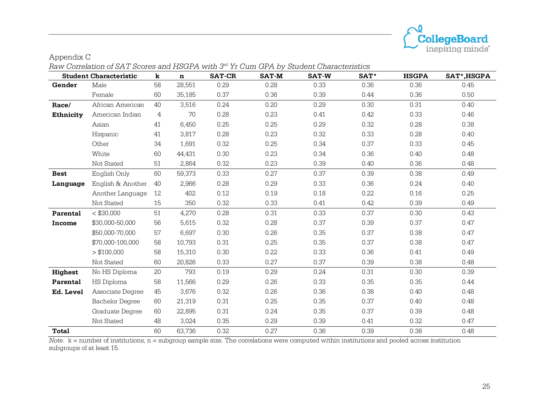

|                  | <b>Student Characteristic</b> | k  | $\mathbf n$ | <b>SAT-CR</b> | <b>SAT-M</b> | <b>SAT-W</b> | SAT* | <b>HSGPA</b> | SAT*, HSGPA |
|------------------|-------------------------------|----|-------------|---------------|--------------|--------------|------|--------------|-------------|
| Gender           | Male                          | 58 | 28,551      | 0.29          | 0.28         | 0.33         | 0.36 | 0.36         | 0.45        |
|                  | Female                        | 60 | 35,185      | 0.37          | 0.36         | 0.39         | 0.44 | 0.36         | 0.50        |
| Race/            | African American              | 40 | 3,516       | 0.24          | 0.20         | 0.29         | 0.30 | 0.31         | 0.40        |
| <b>Ethnicity</b> | American Indian               | 4  | 70          | 0.28          | 0.23         | 0.41         | 0.42 | 0.33         | 0.46        |
|                  | Asian                         | 41 | 6,450       | 0.25          | 0.25         | 0.29         | 0.32 | 0.28         | 0.38        |
|                  | Hispanic                      | 41 | 3,817       | 0.28          | 0.23         | 0.32         | 0.33 | 0.28         | 0.40        |
|                  | Other                         | 34 | 1,691       | 0.32          | 0.25         | 0.34         | 0.37 | 0.33         | 0.45        |
|                  | White                         | 60 | 44,431      | 0.30          | 0.23         | 0.34         | 0.36 | 0.40         | 0.48        |
|                  | Not Stated                    | 51 | 2,864       | 0.32          | 0.23         | 0.39         | 0.40 | 0.36         | 0.48        |
| <b>Best</b>      | English Only                  | 60 | 59,373      | 0.33          | 0.27         | 0.37         | 0.39 | 0.38         | 0.49        |
| Language         | English & Another             | 40 | 2,966       | 0.28          | 0.29         | 0.33         | 0.36 | 0.24         | 0.40        |
|                  | Another Language              | 12 | 402         | 0.12          | 0.19         | 0.18         | 0.22 | 0.16         | 0.25        |
|                  | Not Stated                    | 15 | 350         | 0.32          | 0.33         | 0.41         | 0.42 | 0.39         | 0.49        |
| Parental         | $<$ \$30,000                  | 51 | 4,270       | 0.28          | 0.31         | 0.33         | 0.37 | 0.30         | 0.43        |
| Income           | \$30,000-50,000               | 56 | 5,615       | 0.32          | 0.28         | 0.37         | 0.39 | 0.37         | 0.47        |
|                  | \$50,000-70,000               | 57 | 6,697       | 0.30          | 0.26         | 0.35         | 0.37 | 0.38         | 0.47        |
|                  | \$70,000-100,000              | 58 | 10,793      | 0.31          | 0.25         | 0.35         | 0.37 | 0.38         | 0.47        |
|                  | > \$100,000                   | 58 | 15,310      | 0.30          | 0.22         | 0.33         | 0.36 | 0.41         | 0.49        |
|                  | Not Stated                    | 60 | 20,826      | 0.33          | 0.27         | 0.37         | 0.39 | 0.38         | 0.48        |
| Highest          | No HS Diploma                 | 20 | 793         | 0.19          | 0.29         | 0.24         | 0.31 | 0.30         | 0.39        |
| Parental         | HS Diploma                    | 58 | 11,566      | 0.29          | 0.26         | 0.33         | 0.35 | 0.35         | 0.44        |
| Ed. Level        | Associate Degree              | 45 | 3,676       | 0.32          | 0.26         | 0.36         | 0.38 | 0.40         | 0.48        |
|                  | <b>Bachelor Degree</b>        | 60 | 21,319      | 0.31          | 0.25         | 0.35         | 0.37 | 0.40         | 0.48        |
|                  | Graduate Degree               | 60 | 22,895      | 0.31          | 0.24         | 0.35         | 0.37 | 0.39         | 0.48        |
|                  | Not Stated                    | 48 | 3,024       | 0.35          | 0.29         | 0.39         | 0.41 | 0.32         | 0.47        |
| <b>Total</b>     |                               | 60 | 63,736      | 0.32          | 0.27         | 0.36         | 0.39 | 0.38         | 0.48        |

*Raw Correlation of SAT Scores and HSGPA with 3rd Yr Cum GPA by Student Characteristics*

Appendix C

*Note*. k = number of institutions, n = subgroup sample size. The correlations were computed within institutions and pooled across institution subgroups of at least 15.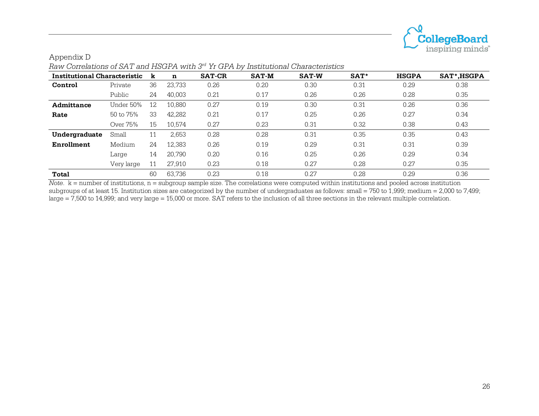

| <b>Institutional Characteristic</b> |            | k  | n      | <b>SAT-CR</b> | <b>SAT-M</b> | <b>SAT-W</b> | SAT* | <b>HSGPA</b> | SAT*, HSGPA |
|-------------------------------------|------------|----|--------|---------------|--------------|--------------|------|--------------|-------------|
| Control                             | Private    | 36 | 23,733 | 0.26          | 0.20         | 0.30         | 0.31 | 0.29         | 0.38        |
|                                     | Public     | 24 | 40,003 | 0.21          | 0.17         | 0.26         | 0.26 | 0.28         | 0.35        |
| Admittance                          | Under 50%  | 12 | 10.880 | 0.27          | 0.19         | 0.30         | 0.31 | 0.26         | 0.36        |
| Rate                                | 50 to 75%  | 33 | 42,282 | 0.21          | 0.17         | 0.25         | 0.26 | 0.27         | 0.34        |
|                                     | Over 75%   | 15 | 10.574 | 0.27          | 0.23         | 0.31         | 0.32 | 0.38         | 0.43        |
| Undergraduate                       | Small      | 11 | 2,653  | 0.28          | 0.28         | 0.31         | 0.35 | 0.35         | 0.43        |
| Enrollment                          | Medium     | 24 | 12,383 | 0.26          | 0.19         | 0.29         | 0.31 | 0.31         | 0.39        |
|                                     | Large      | 14 | 20,790 | 0.20          | 0.16         | 0.25         | 0.26 | 0.29         | 0.34        |
|                                     | Very large | 11 | 27,910 | 0.23          | 0.18         | 0.27         | 0.28 | 0.27         | 0.35        |
| <b>Total</b>                        |            | 60 | 63.736 | 0.23          | 0.18         | 0.27         | 0.28 | 0.29         | 0.36        |

Appendix D *Raw Correlations of SAT and HSGPA with 3rd Yr GPA by Institutional Characteristics*

*Note*.  $k =$  number of institutions, n = subgroup sample size. The correlations were computed within institutions and pooled across institution subgroups of at least 15. Institution sizes are categorized by the number of undergraduates as follows: small = 750 to 1,999; medium = 2,000 to 7,499; large = 7,500 to 14,999; and very large = 15,000 or more. SAT refers to the inclusion of all three sections in the relevant multiple correlation.